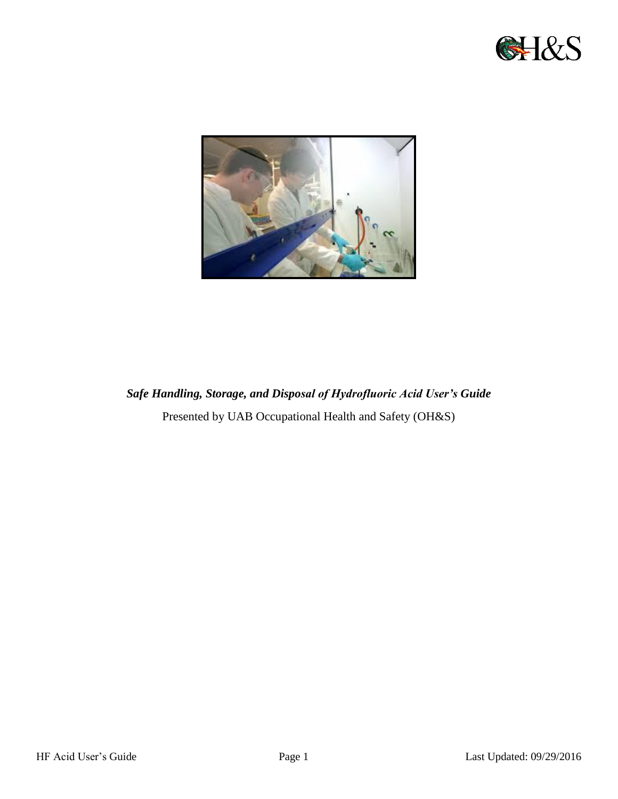



# *Safe Handling, Storage, and Disposal of Hydrofluoric Acid User's Guide*  Presented by UAB Occupational Health and Safety (OH&S)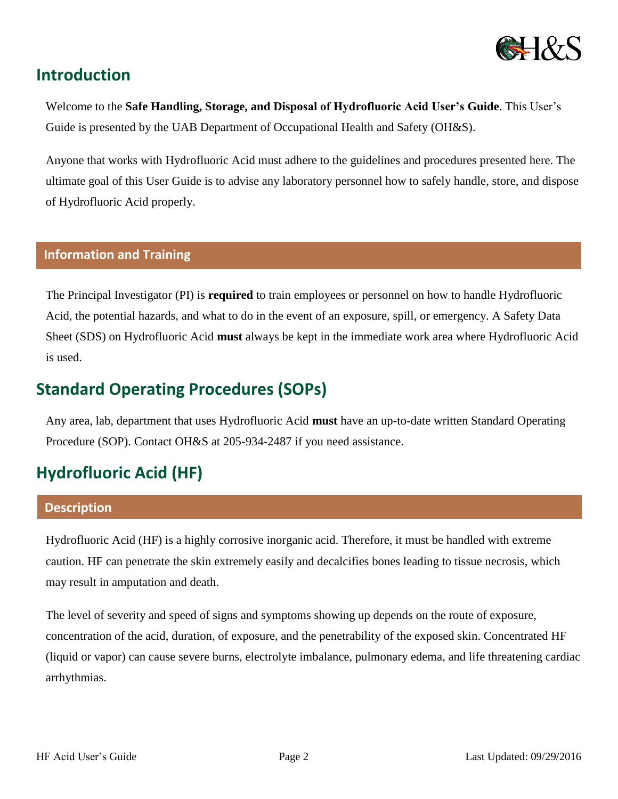

## **Introduction**

Welcome to the **Safe Handling, Storage, and Disposal of Hydrofluoric Acid User's Guide**. This User's Guide is presented by the UAB Department of Occupational Health and Safety (OH&S).

Anyone that works with Hydrofluoric Acid must adhere to the guidelines and procedures presented here. The ultimate goal of this User Guide is to advise any laboratory personnel how to safely handle, store, and dispose of Hydrofluoric Acid properly.

### **Information and Training**

The Principal Investigator (PI) is **required** to train employees or personnel on how to handle Hydrofluoric Acid, the potential hazards, and what to do in the event of an exposure, spill, or emergency. A Safety Data Sheet (SDS) on Hydrofluoric Acid **must** always be kept in the immediate work area where Hydrofluoric Acid is used.

# **Standard Operating Procedures (SOPs)**

Any area, lab, department that uses Hydrofluoric Acid **must** have an up-to-date written Standard Operating Procedure (SOP). Contact OH&S at 205-934-2487 if you need assistance.

# **Hydrofluoric Acid (HF)**

#### **Description**

Hydrofluoric Acid (HF) is a highly corrosive inorganic acid. Therefore, it must be handled with extreme caution. HF can penetrate the skin extremely easily and decalcifies bones leading to tissue necrosis, which may result in amputation and death.

The level of severity and speed of signs and symptoms showing up depends on the route of exposure, concentration of the acid, duration, of exposure, and the penetrability of the exposed skin. Concentrated HF (liquid or vapor) can cause severe burns, electrolyte imbalance, pulmonary edema, and life threatening cardiac arrhythmias.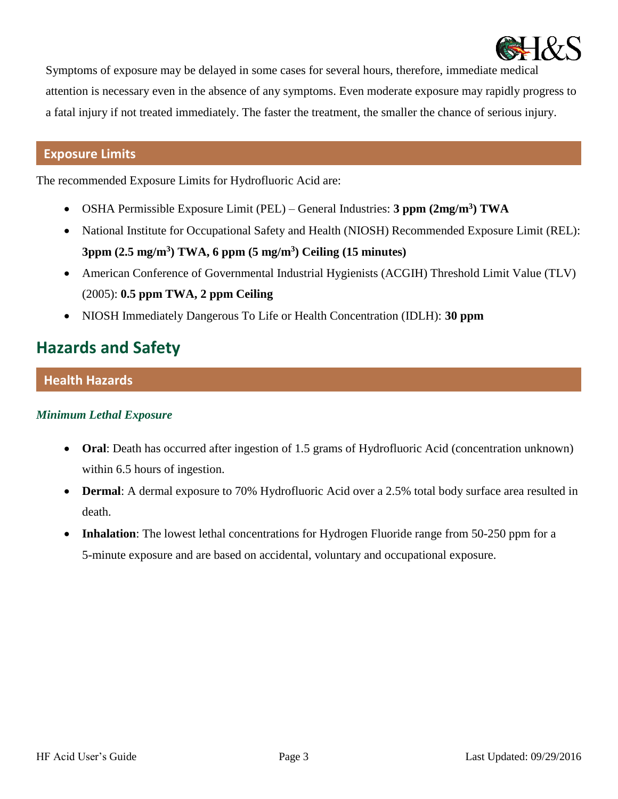

Symptoms of exposure may be delayed in some cases for several hours, therefore, immediate medical attention is necessary even in the absence of any symptoms. Even moderate exposure may rapidly progress to a fatal injury if not treated immediately. The faster the treatment, the smaller the chance of serious injury.

## **Exposure Limits**

The recommended Exposure Limits for Hydrofluoric Acid are:

- OSHA Permissible Exposure Limit (PEL) General Industries: **3 ppm (2mg/m<sup>3</sup> ) TWA**
- National Institute for Occupational Safety and Health (NIOSH) Recommended Exposure Limit (REL): **3ppm (2.5 mg/m<sup>3</sup> ) TWA, 6 ppm (5 mg/m<sup>3</sup> ) Ceiling (15 minutes)**
- American Conference of Governmental Industrial Hygienists (ACGIH) Threshold Limit Value (TLV) (2005): **0.5 ppm TWA, 2 ppm Ceiling**
- NIOSH Immediately Dangerous To Life or Health Concentration (IDLH): **30 ppm**

# **Hazards and Safety**

## **Health Hazards**

## *Minimum Lethal Exposure*

- Oral: Death has occurred after ingestion of 1.5 grams of Hydrofluoric Acid (concentration unknown) within 6.5 hours of ingestion.
- **Dermal**: A dermal exposure to 70% Hydrofluoric Acid over a 2.5% total body surface area resulted in death.
- **Inhalation**: The lowest lethal concentrations for Hydrogen Fluoride range from 50-250 ppm for a 5-minute exposure and are based on accidental, voluntary and occupational exposure.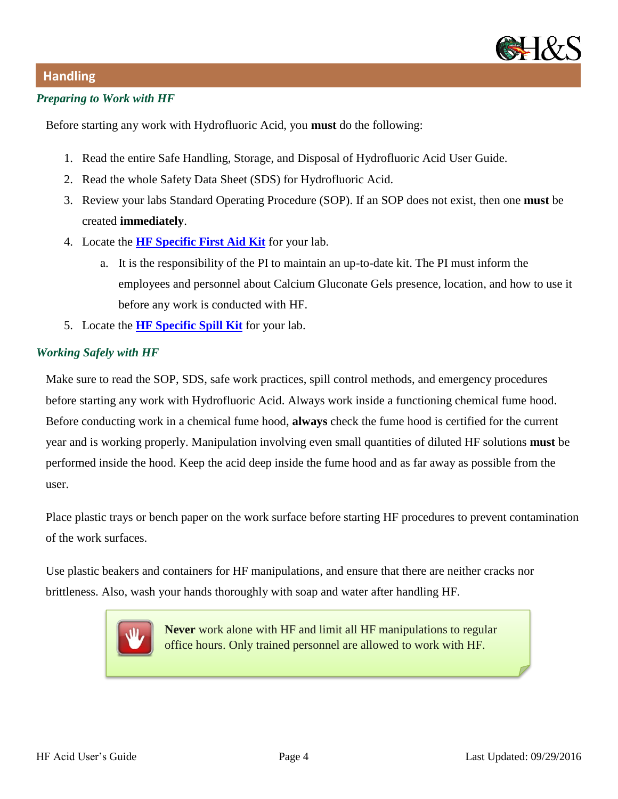

## **Handling**

#### *Preparing to Work with HF*

Before starting any work with Hydrofluoric Acid, you **must** do the following:

- 1. Read the entire Safe Handling, Storage, and Disposal of Hydrofluoric Acid User Guide.
- 2. Read the whole Safety Data Sheet (SDS) for Hydrofluoric Acid.
- 3. Review your labs Standard Operating Procedure (SOP). If an SOP does not exist, then one **must** be created **immediately**.
- 4. Locate the **[HF Specific First Aid Kit](http://www.calgonate.com/calgonate_gel.php)** for your lab.
	- a. It is the responsibility of the PI to maintain an up-to-date kit. The PI must inform the employees and personnel about Calcium Gluconate Gels presence, location, and how to use it before any work is conducted with HF.
- 5. Locate the **[HF Specific Spill Kit](https://www.newpig.com/pig-hydrofluoric-acid-neutralizing-spill-kit-in-bucket/p/KIT601)** for your lab.

### *Working Safely with HF*

Make sure to read the SOP, SDS, safe work practices, spill control methods, and emergency procedures before starting any work with Hydrofluoric Acid. Always work inside a functioning chemical fume hood. Before conducting work in a chemical fume hood, **always** check the fume hood is certified for the current year and is working properly. Manipulation involving even small quantities of diluted HF solutions **must** be performed inside the hood. Keep the acid deep inside the fume hood and as far away as possible from the user.

Place plastic trays or bench paper on the work surface before starting HF procedures to prevent contamination of the work surfaces.

Use plastic beakers and containers for HF manipulations, and ensure that there are neither cracks nor brittleness. Also, wash your hands thoroughly with soap and water after handling HF.



**Never** work alone with HF and limit all HF manipulations to regular office hours. Only trained personnel are allowed to work with HF.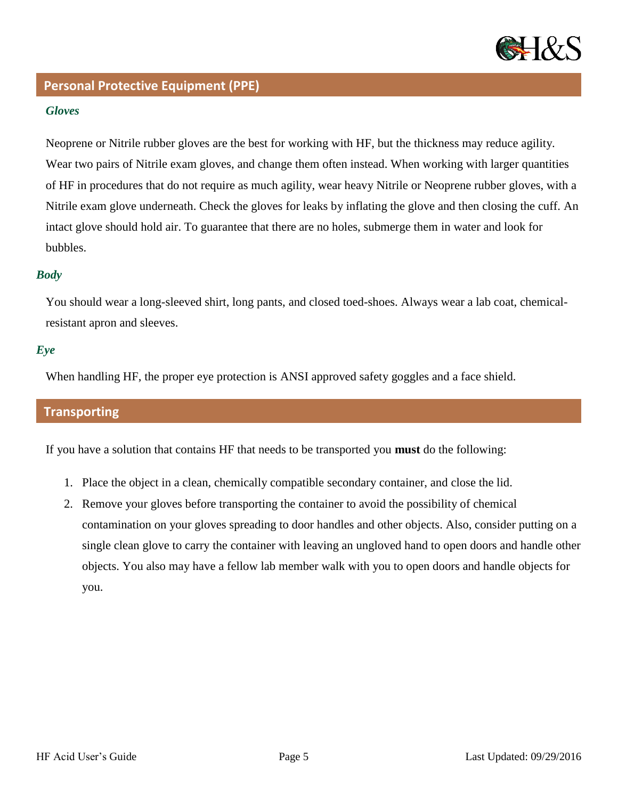

## **Personal Protective Equipment (PPE)**

#### *Gloves*

Neoprene or Nitrile rubber gloves are the best for working with HF, but the thickness may reduce agility. Wear two pairs of Nitrile exam gloves, and change them often instead. When working with larger quantities of HF in procedures that do not require as much agility, wear heavy Nitrile or Neoprene rubber gloves, with a Nitrile exam glove underneath. Check the gloves for leaks by inflating the glove and then closing the cuff. An intact glove should hold air. To guarantee that there are no holes, submerge them in water and look for bubbles.

### *Body*

You should wear a long-sleeved shirt, long pants, and closed toed-shoes. Always wear a lab coat, chemicalresistant apron and sleeves.

### *Eye*

When handling HF, the proper eye protection is ANSI approved safety goggles and a face shield.

## **Transporting**

If you have a solution that contains HF that needs to be transported you **must** do the following:

- 1. Place the object in a clean, chemically compatible secondary container, and close the lid.
- 2. Remove your gloves before transporting the container to avoid the possibility of chemical contamination on your gloves spreading to door handles and other objects. Also, consider putting on a single clean glove to carry the container with leaving an ungloved hand to open doors and handle other objects. You also may have a fellow lab member walk with you to open doors and handle objects for you.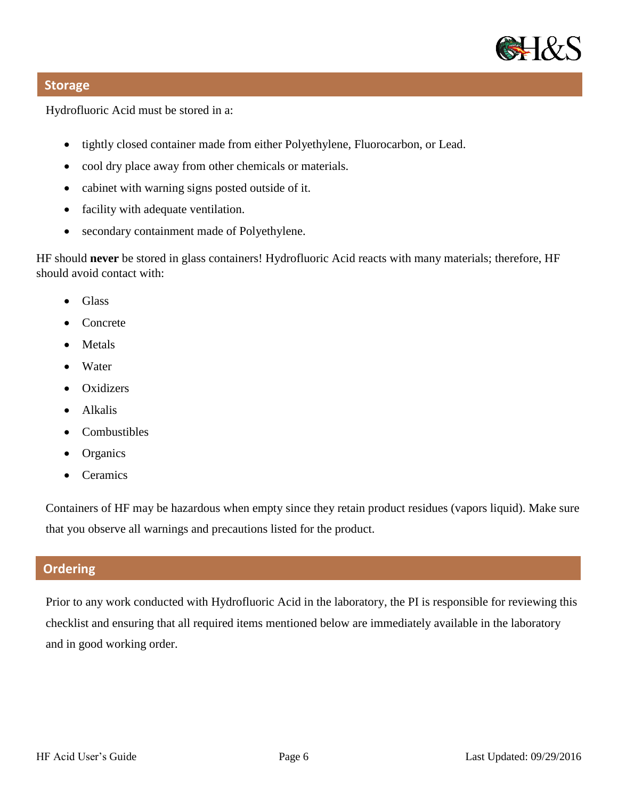

## **Storage**

Hydrofluoric Acid must be stored in a:

- tightly closed container made from either Polyethylene, Fluorocarbon, or Lead.
- cool dry place away from other chemicals or materials.
- cabinet with warning signs posted outside of it.
- facility with adequate ventilation.
- secondary containment made of Polyethylene.

HF should **never** be stored in glass containers! Hydrofluoric Acid reacts with many materials; therefore, HF should avoid contact with:

- Glass
- Concrete
- Metals
- Water
- Oxidizers
- Alkalis
- Combustibles
- **Organics**
- **Ceramics**

Containers of HF may be hazardous when empty since they retain product residues (vapors liquid). Make sure that you observe all warnings and precautions listed for the product.

## **Ordering**

Prior to any work conducted with Hydrofluoric Acid in the laboratory, the PI is responsible for reviewing this checklist and ensuring that all required items mentioned below are immediately available in the laboratory and in good working order.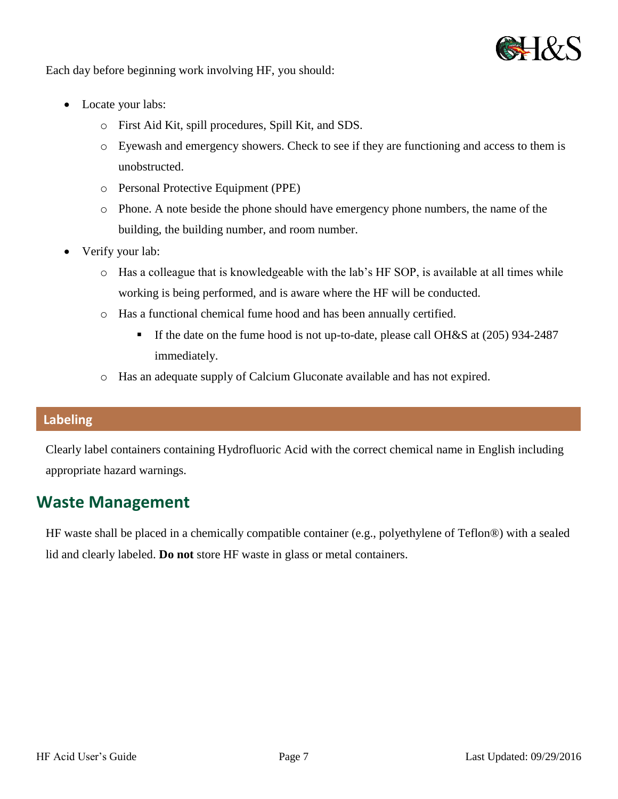

Each day before beginning work involving HF, you should:

- Locate your labs:
	- o First Aid Kit, spill procedures, Spill Kit, and SDS.
	- o Eyewash and emergency showers. Check to see if they are functioning and access to them is unobstructed.
	- o Personal Protective Equipment (PPE)
	- o Phone. A note beside the phone should have emergency phone numbers, the name of the building, the building number, and room number.
- Verify your lab:
	- o Has a colleague that is knowledgeable with the lab's HF SOP, is available at all times while working is being performed, and is aware where the HF will be conducted.
	- o Has a functional chemical fume hood and has been annually certified.
		- If the date on the fume hood is not up-to-date, please call OH&S at (205) 934-2487 immediately.
	- o Has an adequate supply of Calcium Gluconate available and has not expired.

## **Labeling**

Clearly label containers containing Hydrofluoric Acid with the correct chemical name in English including appropriate hazard warnings.

## **Waste Management**

HF waste shall be placed in a chemically compatible container (e.g., polyethylene of Teflon®) with a sealed lid and clearly labeled. **Do not** store HF waste in glass or metal containers.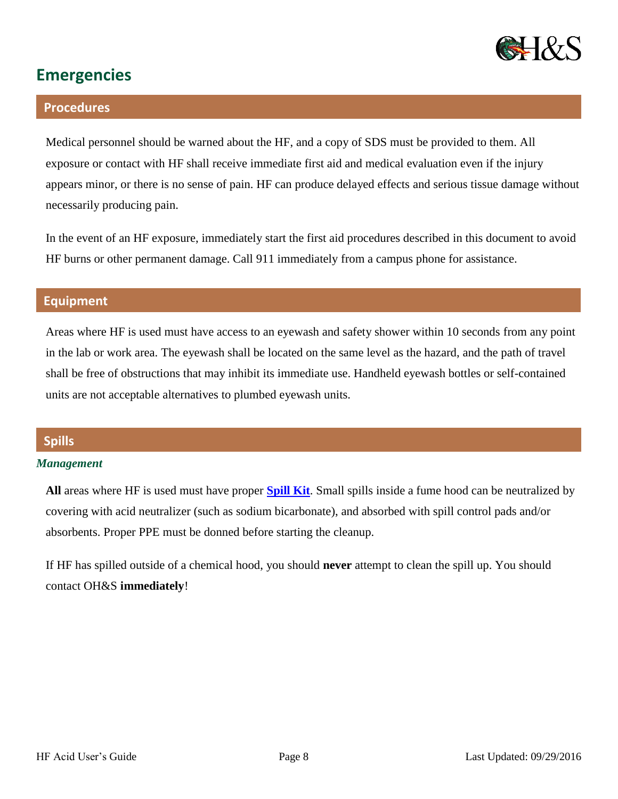

# **Emergencies**

### **Procedures**

Medical personnel should be warned about the HF, and a copy of SDS must be provided to them. All exposure or contact with HF shall receive immediate first aid and medical evaluation even if the injury appears minor, or there is no sense of pain. HF can produce delayed effects and serious tissue damage without necessarily producing pain.

In the event of an HF exposure, immediately start the first aid procedures described in this document to avoid HF burns or other permanent damage. Call 911 immediately from a campus phone for assistance.

## **Equipment**

Areas where HF is used must have access to an eyewash and safety shower within 10 seconds from any point in the lab or work area. The eyewash shall be located on the same level as the hazard, and the path of travel shall be free of obstructions that may inhibit its immediate use. Handheld eyewash bottles or self-contained units are not acceptable alternatives to plumbed eyewash units.

## **Spills**

#### *Management*

**All** areas where HF is used must have proper **[Spill Kit](https://www.newpig.com/pig-hydrofluoric-acid-neutralizing-spill-kit-in-bucket/p/KIT601)**. Small spills inside a fume hood can be neutralized by covering with acid neutralizer (such as sodium bicarbonate), and absorbed with spill control pads and/or absorbents. Proper PPE must be donned before starting the cleanup.

If HF has spilled outside of a chemical hood, you should **never** attempt to clean the spill up. You should contact OH&S **immediately**!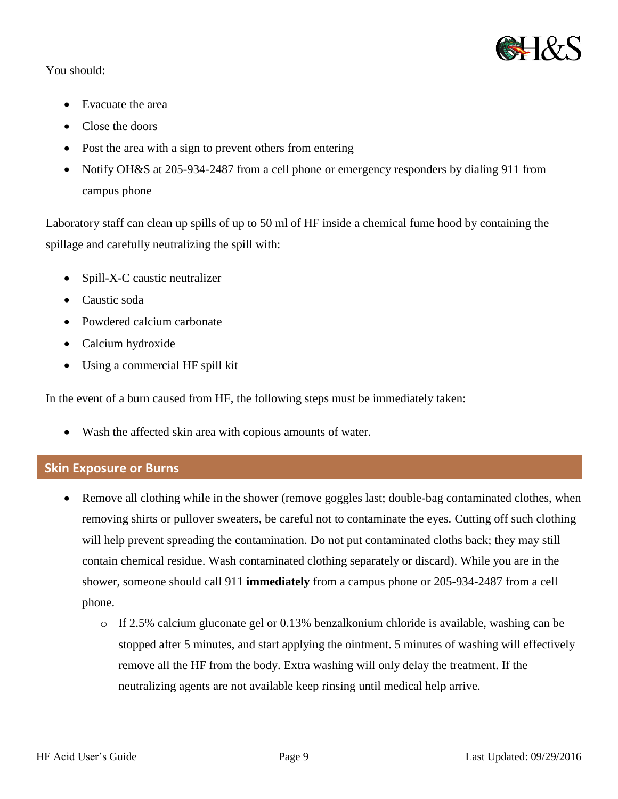

## You should:

- Evacuate the area
- Close the doors
- Post the area with a sign to prevent others from entering
- Notify OH&S at 205-934-2487 from a cell phone or emergency responders by dialing 911 from campus phone

Laboratory staff can clean up spills of up to 50 ml of HF inside a chemical fume hood by containing the spillage and carefully neutralizing the spill with:

- Spill-X-C caustic neutralizer
- Caustic soda
- Powdered calcium carbonate
- Calcium hydroxide
- Using a commercial HF spill kit

In the event of a burn caused from HF, the following steps must be immediately taken:

Wash the affected skin area with copious amounts of water.

## **Skin Exposure or Burns**

- Remove all clothing while in the shower (remove goggles last; double-bag contaminated clothes, when removing shirts or pullover sweaters, be careful not to contaminate the eyes. Cutting off such clothing will help prevent spreading the contamination. Do not put contaminated cloths back; they may still contain chemical residue. Wash contaminated clothing separately or discard). While you are in the shower, someone should call 911 **immediately** from a campus phone or 205-934-2487 from a cell phone.
	- o If 2.5% calcium gluconate gel or 0.13% benzalkonium chloride is available, washing can be stopped after 5 minutes, and start applying the ointment. 5 minutes of washing will effectively remove all the HF from the body. Extra washing will only delay the treatment. If the neutralizing agents are not available keep rinsing until medical help arrive.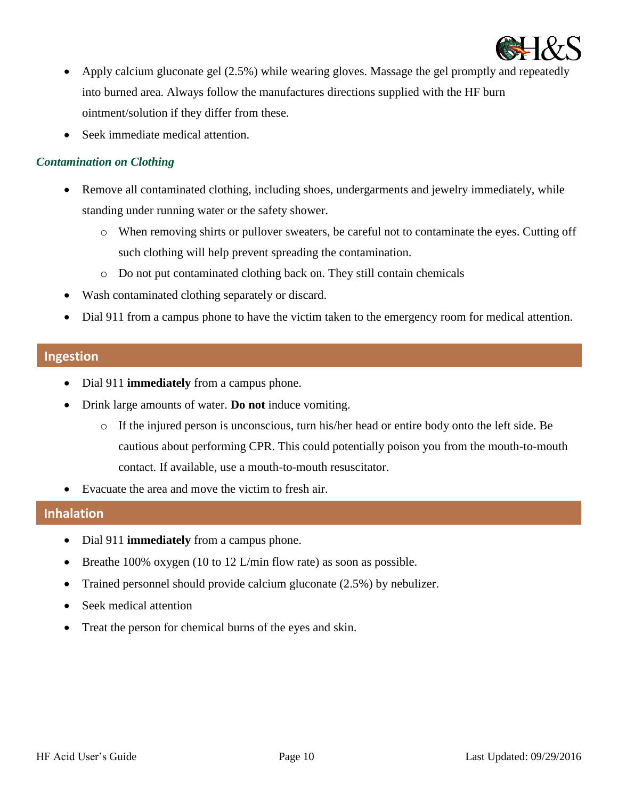

- Apply calcium gluconate gel (2.5%) while wearing gloves. Massage the gel promptly and repeatedly into burned area. Always follow the manufactures directions supplied with the HF burn ointment/solution if they differ from these.
- Seek immediate medical attention.

#### *Contamination on Clothing*

- Remove all contaminated clothing, including shoes, undergarments and jewelry immediately, while standing under running water or the safety shower.
	- o When removing shirts or pullover sweaters, be careful not to contaminate the eyes. Cutting off such clothing will help prevent spreading the contamination.
	- o Do not put contaminated clothing back on. They still contain chemicals
- Wash contaminated clothing separately or discard.
- Dial 911 from a campus phone to have the victim taken to the emergency room for medical attention.

### **Ingestion**

- Dial 911 **immediately** from a campus phone.
- Drink large amounts of water. **Do not** induce vomiting.
	- o If the injured person is unconscious, turn his/her head or entire body onto the left side. Be cautious about performing CPR. This could potentially poison you from the mouth-to-mouth contact. If available, use a mouth-to-mouth resuscitator.
- Evacuate the area and move the victim to fresh air.

## **Inhalation**

- Dial 911 **immediately** from a campus phone.
- **•** Breathe 100% oxygen (10 to 12 L/min flow rate) as soon as possible.
- Trained personnel should provide calcium gluconate (2.5%) by nebulizer.
- Seek medical attention
- Treat the person for chemical burns of the eyes and skin.